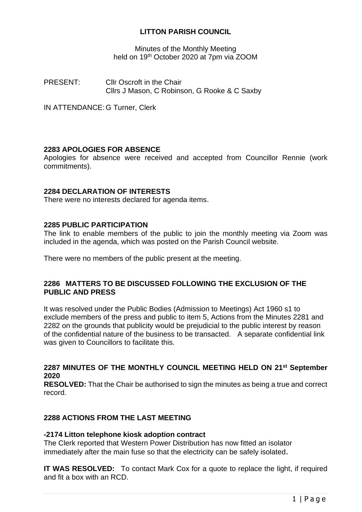## **LITTON PARISH COUNCIL**

Minutes of the Monthly Meeting held on 19th October 2020 at 7pm via ZOOM

PRESENT: Cllr Oscroft in the Chair Cllrs J Mason, C Robinson, G Rooke & C Saxby

IN ATTENDANCE: G Turner, Clerk

## **2283 APOLOGIES FOR ABSENCE**

Apologies for absence were received and accepted from Councillor Rennie (work commitments).

## **2284 DECLARATION OF INTERESTS**

There were no interests declared for agenda items.

## **2285 PUBLIC PARTICIPATION**

The link to enable members of the public to join the monthly meeting via Zoom was included in the agenda, which was posted on the Parish Council website.

There were no members of the public present at the meeting.

## **2286 MATTERS TO BE DISCUSSED FOLLOWING THE EXCLUSION OF THE PUBLIC AND PRESS**

It was resolved under the Public Bodies (Admission to Meetings) Act 1960 s1 to exclude members of the press and public to item 5, Actions from the Minutes 2281 and 2282 on the grounds that publicity would be prejudicial to the public interest by reason of the confidential nature of the business to be transacted. A separate confidential link was given to Councillors to facilitate this.

## **2287 MINUTES OF THE MONTHLY COUNCIL MEETING HELD ON 21st September 2020**

**RESOLVED:** That the Chair be authorised to sign the minutes as being a true and correct record.

## **2288 ACTIONS FROM THE LAST MEETING**

## **-2174 Litton telephone kiosk adoption contract**

The Clerk reported that Western Power Distribution has now fitted an isolator immediately after the main fuse so that the electricity can be safely isolated.

**IT WAS RESOLVED:** To contact Mark Cox for a quote to replace the light, if required and fit a box with an RCD.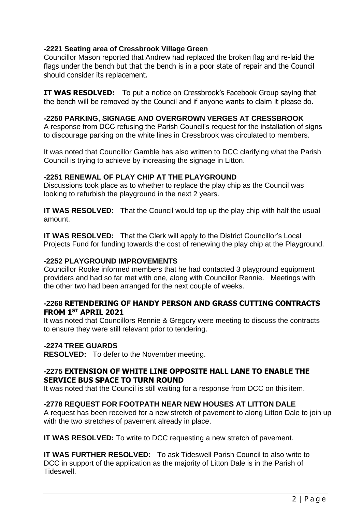## **-2221 Seating area of Cressbrook Village Green**

Councillor Mason reported that Andrew had replaced the broken flag and re-laid the flags under the bench but that the bench is in a poor state of repair and the Council should consider its replacement.

**IT WAS RESOLVED:** To put a notice on Cressbrook's Facebook Group saying that the bench will be removed by the Council and if anyone wants to claim it please do.

## **-2250 PARKING, SIGNAGE AND OVERGROWN VERGES AT CRESSBROOK**

A response from DCC refusing the Parish Council's request for the installation of signs to discourage parking on the white lines in Cressbrook was circulated to members.

It was noted that Councillor Gamble has also written to DCC clarifying what the Parish Council is trying to achieve by increasing the signage in Litton.

## **-2251 RENEWAL OF PLAY CHIP AT THE PLAYGROUND**

Discussions took place as to whether to replace the play chip as the Council was looking to refurbish the playground in the next 2 years.

**IT WAS RESOLVED:** That the Council would top up the play chip with half the usual amount.

**IT WAS RESOLVED:** That the Clerk will apply to the District Councillor's Local Projects Fund for funding towards the cost of renewing the play chip at the Playground.

## **-2252 PLAYGROUND IMPROVEMENTS**

Councillor Rooke informed members that he had contacted 3 playground equipment providers and had so far met with one, along with Councillor Rennie. Meetings with the other two had been arranged for the next couple of weeks.

## **-2268 RETENDERING OF HANDY PERSON AND GRASS CUTTING CONTRACTS FROM 1ST APRIL 2021**

It was noted that Councillors Rennie & Gregory were meeting to discuss the contracts to ensure they were still relevant prior to tendering.

## **-2274 TREE GUARDS**

**RESOLVED:** To defer to the November meeting.

## **-2275 EXTENSION OF WHITE LINE OPPOSITE HALL LANE TO ENABLE THE SERVICE BUS SPACE TO TURN ROUND**

It was noted that the Council is still waiting for a response from DCC on this item.

## **-2778 REQUEST FOR FOOTPATH NEAR NEW HOUSES AT LITTON DALE**

A request has been received for a new stretch of pavement to along Litton Dale to join up with the two stretches of pavement already in place.

**IT WAS RESOLVED:** To write to DCC requesting a new stretch of pavement.

**IT WAS FURTHER RESOLVED:** To ask Tideswell Parish Council to also write to DCC in support of the application as the majority of Litton Dale is in the Parish of Tideswell.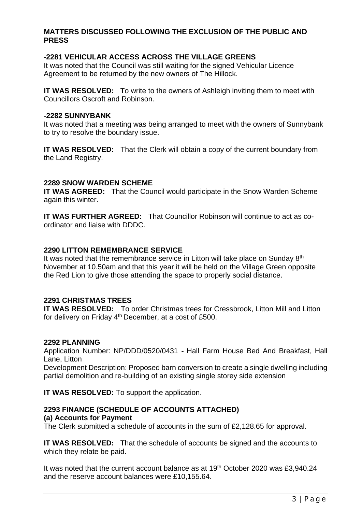## **MATTERS DISCUSSED FOLLOWING THE EXCLUSION OF THE PUBLIC AND PRESS**

## **-2281 VEHICULAR ACCESS ACROSS THE VILLAGE GREENS**

It was noted that the Council was still waiting for the signed Vehicular Licence Agreement to be returned by the new owners of The Hillock.

**IT WAS RESOLVED:** To write to the owners of Ashleigh inviting them to meet with Councillors Oscroft and Robinson.

#### **-2282 SUNNYBANK**

It was noted that a meeting was being arranged to meet with the owners of Sunnybank to try to resolve the boundary issue.

**IT WAS RESOLVED:** That the Clerk will obtain a copy of the current boundary from the Land Registry.

#### **2289 SNOW WARDEN SCHEME**

**IT WAS AGREED:** That the Council would participate in the Snow Warden Scheme again this winter.

**IT WAS FURTHER AGREED:** That Councillor Robinson will continue to act as coordinator and liaise with DDDC.

#### **2290 LITTON REMEMBRANCE SERVICE**

It was noted that the remembrance service in Litton will take place on Sunday 8<sup>th</sup> November at 10.50am and that this year it will be held on the Village Green opposite the Red Lion to give those attending the space to properly social distance.

#### **2291 CHRISTMAS TREES**

**IT WAS RESOLVED:** To order Christmas trees for Cressbrook, Litton Mill and Litton for delivery on Friday 4<sup>th</sup> December, at a cost of £500.

#### **2292 PLANNING**

Application Number: NP/DDD/0520/0431 **-** Hall Farm House Bed And Breakfast, Hall Lane, Litton

Development Description: Proposed barn conversion to create a single dwelling including partial demolition and re-building of an existing single storey side extension

**IT WAS RESOLVED:** To support the application.

## **2293 FINANCE (SCHEDULE OF ACCOUNTS ATTACHED)**

## **(a) Accounts for Payment**

The Clerk submitted a schedule of accounts in the sum of £2,128.65 for approval.

**IT WAS RESOLVED:** That the schedule of accounts be signed and the accounts to which they relate be paid.

It was noted that the current account balance as at 19<sup>th</sup> October 2020 was £3,940.24 and the reserve account balances were £10,155.64.